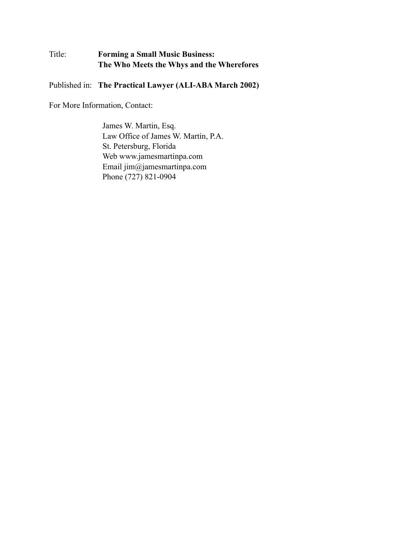# Title: **Forming a Small Music Business: The Who Meets the Whys and the Wherefores**

Published in: **The Practical Lawyer (ALI-ABA March 2002)**

For More Information, Contact:

James W. Martin, Esq. Law Office of James W. Martin, P.A. St. Petersburg, Florida Web www.jamesmartinpa.com Email jim@jamesmartinpa.com Phone (727) 821-0904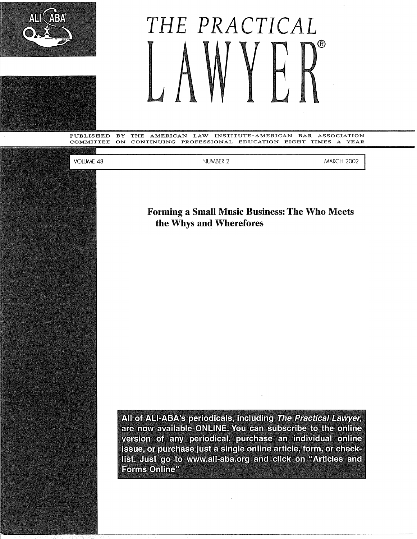

# *THE PRACTICAL*  ®

PUBLISHED BY THE AMERICAN LAW INSTITUTE-AMERICAN BAR ASSOCIATION COMMITTEE ON CONTINUING PROFESSIONAL EDUCATION EIGHT TIMES A YEAR

VOLUME 48

NUMBER 2 MARCH 2002

**Forming a Small Music Business: The Who Meets the Whys and Wherefores** 

All of ALI-ABA's periodicals, including The Practical Lawyer, are now available ONLINE. You can subscribe to the online version of any periodical, purchase an individual online issue, or purchase just a single online article, form, or checklist. Just go to www.ali-aba.org and click on "Articles and Forms Online<sup>"</sup>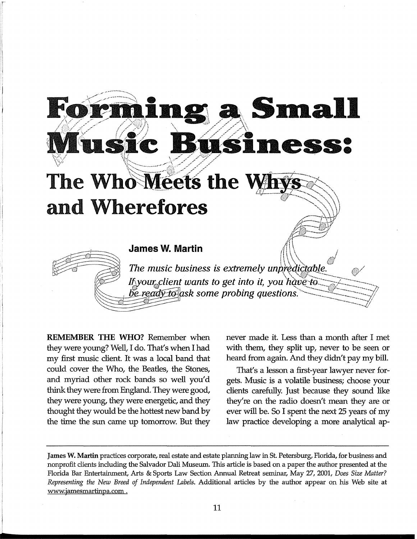# **Sma** h ŃĆ The Who Meets the W and Wherefores **James W. Martin** The music business is extremely unpredictable. If your client wants to get into it, you have to be ready to ask some probing questions.

**REMEMBER THE WHO?** Remember when they were young? Well, I do. That's when I had my first music client. It was a local band that could cover the Who, the Beatles, the Stones, and myriad other rock bands so well you'd think they were from England. They were good, they were young, they were energetic, and they thought they would be the hottest new band by the time the sun came up tomorrow. But they

r

never made it. Less than a month after I met with them, they split up, never to be seen or heard from again. And they didn't pay my bill.

That's a lesson a first-year lawyer never forgets. Music is a volatile business; choose your clients carefully. Just because they sound like they're on the radio doesn't mean they are or ever will be. So I spent the next 25 years of my law practice developing a more analytical ap-

**James W. Martin** practices corporate, real estate and estate planrring law in St. Petersburg, Florida, for business and nonprofit clients including the Salvador Dali Museum. This article is based on a paper the author presented at the Florida Bar Entertainment, Arts & Sports Law Section Annual Retreat seminar, May 27, 2001, *Does Size Matter? Representing the New Breed of Independent Labels.* Additional articles by the author appear on his Web site at www.jamesmartinpa.com .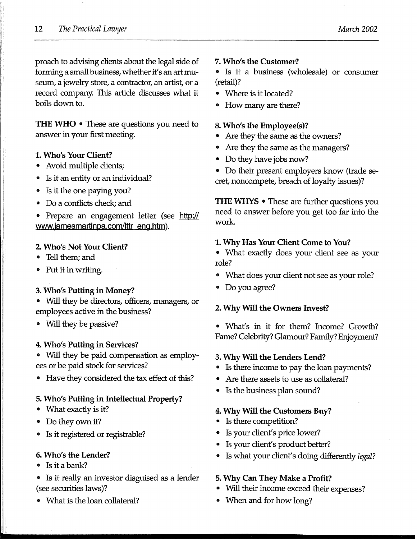proach to advising clients about the legal side of forming a small business, whether it's an art museum, a jewelry store, a contractor, an artist, or a record company. This article discusses what it boils down to.

**THE WHO** • These are questions you need to answer in your first meeting.

#### **1. Who's Your Client?**

- Avoid multiple clients;
- Is it an entity or an individual?
- Is it the one paying you?
- Do a conflicts check; and
- Prepare an engagement letter (see **http:// www.jamesmartinpa.com/lttr eng.htm).**

#### **2. Who's Not Your Client?**

- Tell them; and
- Put it in writing.

#### **3. Who's Putting in Money?**

- Will they be directors, officers, managers, or employees active in the business?
- Will they be passive?

#### **4. Who's Putting in Services?**

• Will they be paid compensation as employees or be paid stock for services?

• Have they considered the tax effect of this?

#### **5. Who's Putting in Intellectual Property?**

- What exactly is it?
- Do they own it?
- Is it registered or registrable?

#### **6. Who's the Lender?**

- Is it a bank?
- Is it really an investor disguised as a lender (see securities laws)?
- What is the loan collateral?

#### **7. Who's the Customer?**

• Is it a business (wholesale) or consumer (retail)?

- Where is it located?
- How many are there?

#### **8. Who's the Employee(s)?**

- Are they the same as the owners?
- Are they the same as the managers?
- Do they have jobs now?
- Do their present employers know (trade secret, noncompete, breach of loyalty issues)?

**THE WHYS** • These are further questions you need to answer before you get too far into the work

#### **1. Why Has Your Client Come to You?**

- What exactly does your client see as your role?
- What does your client not see as your role?
- Do you agree?

#### **2. Why Will the Owners Invest?**

• What's in it for them? Income? Growth? Fame? Celebrity? Glamour? Family? Enjoyment?

#### **3. Why Will the Lenders Lend?**

- Is there income to pay the loan payments?
- Are there assets to use as collateral?
- Is the business plan sound?

#### **4. Why Will the Customers Buy?**

- Is there competition?
- Is your client's price lower?
- Is your client's product better?
- Is what your client's doing differently *legal?*

#### **5. Why Can They Make a Profit?**

- Will their income exceed their expenses?
- When and for how long?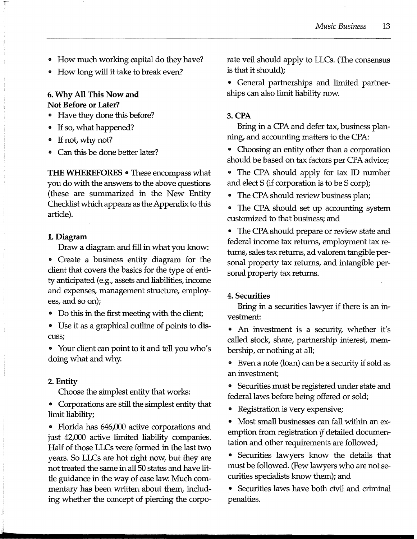- How much working capital do they have?
- How long will it take to break even?

#### **6. Why All This Now and Not Before or Later?**

- Have they done this before?
- If so, what happened?
- If not, why not?
- Can this be done better later?

**THE WHEREFORES** • These encompass what you do with the answers to the above questions (these are summarized in the New Entity Checklist which appears as the Appendix to this article).

#### **1. Diagram**

Draw a diagram and fill in what you know:

• Create a business entity diagram for the client that covers the basics for the type of entity anticipated (e.g., assets and liabilities, income and expenses, management structure, employees, and so on);

- Do this in the first meeting with the client;
- Use it as a graphical outline of points to discuss;
- Your client can point to it and tell you who's doing what and why.

#### **2. Entity**

Choose the simplest entity that works:

• Corporations are still the simplest entity that limit liability;

• Florida has 646,000 active corporations and just 42,000 active limited liability companies. Half of those LLCs were formed in the last two years. So LLCs are hot right now, but they are not treated the same in all 50 states and have little guidance in the way of case law. Much commentary has been written about them, including whether the concept of piercing the corporate veil should apply to LLCs. (The consensus is that it should);

• General partnerships and limited partnerships can also limit liability now.

#### **3.CPA**

Bring in a CPA and defer tax, business planning, and accounting matters to the CPA:

• Choosing an entity other than a corporation should be based on tax factors per CPA advice;

- The CPA should apply for tax ID number and elect S (if corporation is to be S corp);
- The CPA should review business plan;
- The CPA should set up accounting system customized to that business; and

• The CPA should prepare or review state and federal income tax returns, employment tax returns, sales tax returns, ad valorem tangible personal property tax returns, and intangible personal property tax returns.

#### **4. Securities**

Bring in a securities lawyer if there is an investment:

• An investment is a security, whether it's called stock, share, partnership interest, membership, or nothing at all;

• Even a note (loan) can be a security if sold as an investment;

• Securities must be registered under state and federal laws before being offered or sold;

- Registration is very expensive;
- Most small businesses can fall within an exemption from registration *if* detailed documentation and other requirements are followed;

• Securities lawyers know the details that must be followed. (Few lawyers who are not securities specialists know them); and

• Securities laws have both civil and criminal penalties.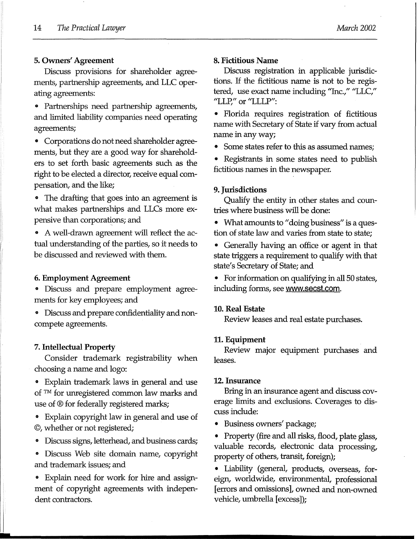#### **5. Owners' Agreement**

Discuss provisions for shareholder agreements, partnership agreements, and LLC operating agreements:

• Partnerships need partnership agreements, and limited liability companies need operating agreements;

• Corporations do not need shareholder agreements, but they are a good way for shareholders to set forth basic agreements such as the right to be elected a director, receive equal compensation, and the like;

• The drafting that goes into an agreement is what makes partnerships and LLCs more expensive than corporations; and

• A well-drawn agreement will reflect the actual understanding of the parties, so it needs to be discussed and reviewed with them.

#### **6. Employment Agreement**

• Discuss and prepare employment agreements for key employees; and

• Discuss and prepare confidentiality and noncompete agreements.

#### **7. Intellectual Property**

Consider trademark registrability when choosing a name and logo:

• Explain trademark laws in general and use of TM for unregistered common law marks and use of ® for federally registered marks;

• Explain copyright law in general and use of ©, whether or not registered;

• Discuss signs, letterhead, and business cards;

• Discuss Web site domain name, copyright and trademark issues; and

• Explain need for work for hire and assignment of copyright agreements with independent contractors.

#### **8. Fictitious Name**

Discuss registration in applicable jurisdictions. If the fictitious name is not to be registered, use exact name including "Inc.," "LLC," "LLP," or "LLLP":

• Florida requires registration of fictitious name with Secretary of State if vary from actual name in any way;

• Some states refer to this as assumed names;

• Registrants in some states need to publish fictitious names in the newspaper.

#### **9. Jurisdictions**

Qualify the entity in other states and countries where business will be done:

• What amounts to "doing business" is a question of state law and varies from state to state;

• Generally having an office or agent in that state triggers a requirement to qualify with that state's Secretary of State; and

• For information on qualifying in all SO states, including forms, see www.secst.com.

#### **10. Real Estate**

Review leases and real estate purchases.

#### **11. Equipment**

Review major equipment purchases and leases.

#### **12.Insurance**

Bring in an insurance agent and discuss coverage limits and exclusions. Coverages to discuss include:

• Business owners' package;

• Property (fire and all risks, flood, plate glass, valuable records, electronic data processing, property of others, transit, foreign);

• Liability (general, products, overseas, foreign, worldwide, environmental, professional [ errors and omissions], owned and non-owned vehicle, umbrella [excess]);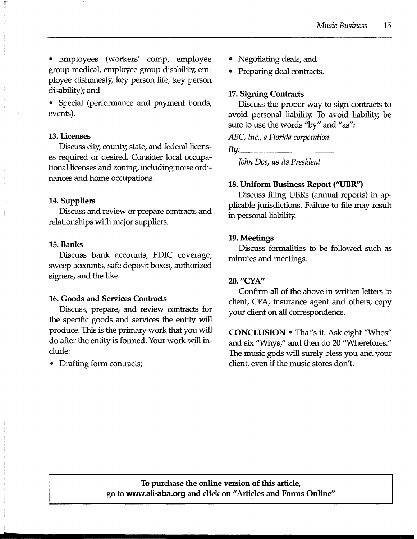• Employees (workers' comp, employee group medical, employee group disability, employee dishonesty, key person life, key person disability); and

• Special (performance and payment bonds, events).

#### **13. Licenses**

Discuss city, county, state, and federal licenses required or desired. Consider local occupational licenses and zoning, including noise ordinances and home occupations.

# **14. Suppliers**

Discuss and review or prepare contracts and relationships with major suppliers.

#### **15. Banks**

Discuss bank accounts, FDIC coverage, sweep accounts, safe deposit boxes, authorized signers, and the like.

# **16. Goods and Services Contracts**

Discuss, prepare, and review contracts for the specific goods and services the entity will produce. This is the primary work that you will do after the entity is formed. Your work will include:

• Drafting form contracts;

- Negotiating deals, and
- Preparing deal contracts.

# **17. Signing Contracts**

Discuss the proper way to sign contracts to avoid personal liability. To avoid liability, be sure to use the words "by" and "as":

*ABC, Inc., a Florida corporation* 

*By: \_\_\_\_\_\_\_\_ \_* 

*John Doe, as its President* 

# **18. Uniform Business Report ("UBR")**

Discuss filing UBRs (annual reports) in applicable jurisdictions. Failure to file may result in personal liability.

# **19.Meetings**

Discuss formalities to be followed such as minutes and meetings.

# **20.** *11CY.A"*

Confirm all of the above in written letters to client, CPA, insurance agent and others; copy your client on all correspondence.

**CONCLUSION•** That's it. Ask eight ''Whos" and six ''Whys," and then do 20 ''Wherefores." The music gods will surely bless you and your client, even if the music stores don't.

**To purchase the online version of this article, go to www.ali-aba.org and click on** II **Articles and Forms Online"**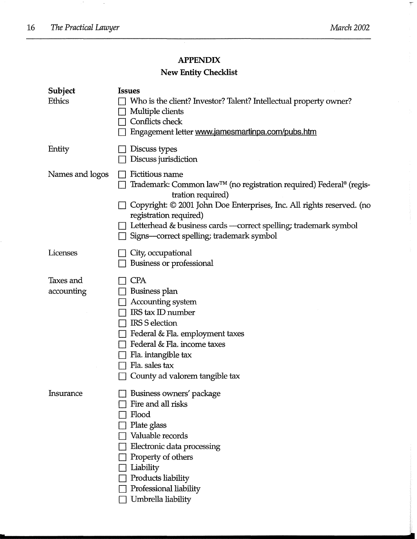$\mathbb{Z}^{\#}$  .

 $\bar{\gamma}$ 

 $\overline{\overline{\xi}}^{\mu}$ 

# **APPENDIX**

# **New Entity Checklist**

| <b>Subject</b><br><b>Ethics</b> | <b>Issues</b><br>Who is the client? Investor? Talent? Intellectual property owner?<br>Multiple clients<br>Conflicts check<br>Engagement letter www.jamesmartinpa.com/pubs.htm                                                                                                                                                            |
|---------------------------------|------------------------------------------------------------------------------------------------------------------------------------------------------------------------------------------------------------------------------------------------------------------------------------------------------------------------------------------|
| Entity                          | Discuss types<br>Discuss jurisdiction                                                                                                                                                                                                                                                                                                    |
| Names and logos                 | Fictitious name<br>Trademark: Common law <sup>™</sup> (no registration required) Federal® (regis-<br>tration required)<br>Copyright: © 2001 John Doe Enterprises, Inc. All rights reserved. (no<br>registration required)<br>Letterhead & business cards —correct spelling; trademark symbol<br>Signs—correct spelling; trademark symbol |
| Licenses                        | City, occupational<br>Business or professional                                                                                                                                                                                                                                                                                           |
| Taxes and<br>accounting         | <b>CPA</b><br>Business plan<br>Accounting system<br>IRS tax ID number<br><b>IRS S election</b><br>Federal & Fla. employment taxes<br>Federal & Fla. income taxes<br>Fla. intangible tax<br>Fla. sales tax<br>County ad valorem tangible tax                                                                                              |
| Insurance                       | Business owners' package<br>Fire and all risks<br>Flood<br>Plate glass<br>Valuable records<br>Electronic data processing<br>Property of others<br>Liability<br>Products liability<br>Professional liability<br>Umbrella liability                                                                                                        |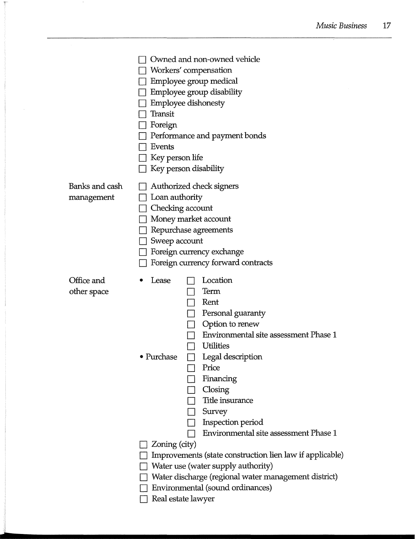|                              | Owned and non-owned vehicle<br>Workers' compensation<br>Employee group medical<br>Employee group disability<br><b>Employee dishonesty</b><br>Transit<br>Foreign<br>Performance and payment bonds<br>Events<br>Key person life<br>Key person disability                                                                                                                                                                                                                                                                                             |
|------------------------------|----------------------------------------------------------------------------------------------------------------------------------------------------------------------------------------------------------------------------------------------------------------------------------------------------------------------------------------------------------------------------------------------------------------------------------------------------------------------------------------------------------------------------------------------------|
| Banks and cash<br>management | Authorized check signers<br>Loan authority<br>Checking account<br>Money market account<br>Repurchase agreements<br>Sweep account<br>Foreign currency exchange<br>Foreign currency forward contracts                                                                                                                                                                                                                                                                                                                                                |
| Office and<br>other space    | Location<br>Lease<br>Term<br>Rent<br>Personal guaranty<br>Option to renew<br>Environmental site assessment Phase 1<br><b>Utilities</b><br>Purchase<br>Legal description<br>$\Box$<br>Price<br>Financing<br>Closing<br>Title insurance<br>Survey<br>Inspection period<br>Environmental site assessment Phase 1<br>Zoning (city)<br>Improvements (state construction lien law if applicable)<br>Water use (water supply authority)<br>Water discharge (regional water management district)<br>Environmental (sound ordinances)<br>Real estate lawyer |

 $\mathcal{A}$